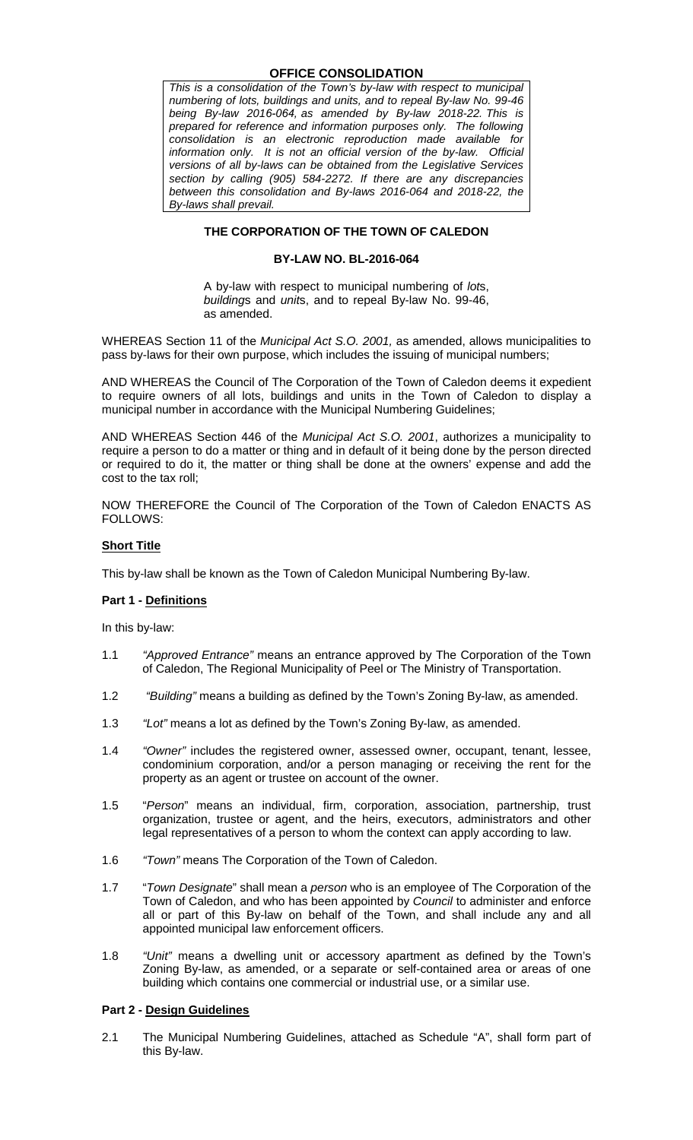#### **OFFICE CONSOLIDATION**

*This is a consolidation of the Town's by-law with respect to municipal numbering of lots, buildings and units, and to repeal By-law No. 99-46 being By-law 2016-064, as amended by By-law 2018-22. This is prepared for reference and information purposes only. The following consolidation is an electronic reproduction made available for information only. It is not an official version of the by-law. Official versions of all by-laws can be obtained from the Legislative Services section by calling (905) 584-2272. If there are any discrepancies between this consolidation and By-laws 2016-064 and 2018-22, the By-laws shall prevail.*

#### **THE CORPORATION OF THE TOWN OF CALEDON**

#### **BY-LAW NO. BL-2016-064**

A by-law with respect to municipal numbering of *lot*s, *building*s and *unit*s, and to repeal By-law No. 99-46, as amended.

WHEREAS Section 11 of the *Municipal Act S.O. 2001,* as amended, allows municipalities to pass by-laws for their own purpose, which includes the issuing of municipal numbers;

AND WHEREAS the Council of The Corporation of the Town of Caledon deems it expedient to require owners of all lots, buildings and units in the Town of Caledon to display a municipal number in accordance with the Municipal Numbering Guidelines;

AND WHEREAS Section 446 of the *Municipal Act S.O. 2001*, authorizes a municipality to require a person to do a matter or thing and in default of it being done by the person directed or required to do it, the matter or thing shall be done at the owners' expense and add the cost to the tax roll;

NOW THEREFORE the Council of The Corporation of the Town of Caledon ENACTS AS FOLLOWS:

#### **Short Title**

This by-law shall be known as the Town of Caledon Municipal Numbering By-law.

#### **Part 1 - Definitions**

In this by-law:

- 1.1 *"Approved Entrance"* means an entrance approved by The Corporation of the Town of Caledon, The Regional Municipality of Peel or The Ministry of Transportation.
- 1.2 *"Building"* means a building as defined by the Town's Zoning By-law, as amended.
- 1.3 *"Lot"* means a lot as defined by the Town's Zoning By-law, as amended.
- 1.4 *"Owner"* includes the registered owner, assessed owner, occupant, tenant, lessee, condominium corporation, and/or a person managing or receiving the rent for the property as an agent or trustee on account of the owner.
- 1.5 "*Person*" means an individual, firm, corporation, association, partnership, trust organization, trustee or agent, and the heirs, executors, administrators and other legal representatives of a person to whom the context can apply according to law.
- 1.6 *"Town"* means The Corporation of the Town of Caledon.
- 1.7 "*Town Designate*" shall mean a *person* who is an employee of The Corporation of the Town of Caledon, and who has been appointed by *Council* to administer and enforce all or part of this By-law on behalf of the Town, and shall include any and all appointed municipal law enforcement officers.
- 1.8 *"Unit"* means a dwelling unit or accessory apartment as defined by the Town's Zoning By-law, as amended, or a separate or self-contained area or areas of one building which contains one commercial or industrial use, or a similar use.

#### **Part 2 - Design Guidelines**

2.1 The Municipal Numbering Guidelines, attached as Schedule "A", shall form part of this By-law.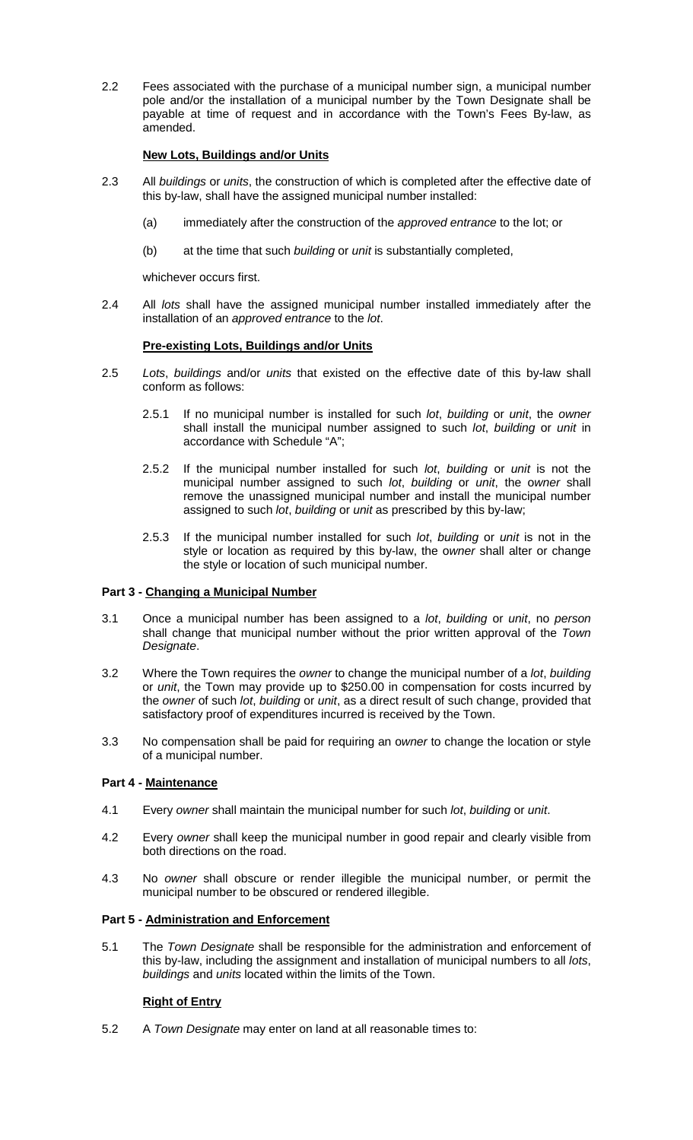2.2 Fees associated with the purchase of a municipal number sign, a municipal number pole and/or the installation of a municipal number by the Town Designate shall be payable at time of request and in accordance with the Town's Fees By-law, as amended.

#### **New Lots, Buildings and/or Units**

- 2.3 All *buildings* or *units*, the construction of which is completed after the effective date of this by-law, shall have the assigned municipal number installed:
	- (a) immediately after the construction of the *approved entrance* to the lot; or
	- (b) at the time that such *building* or *unit* is substantially completed,

whichever occurs first.

2.4 All *lots* shall have the assigned municipal number installed immediately after the installation of an *approved entrance* to the *lot*.

#### **Pre-existing Lots, Buildings and/or Units**

- 2.5 *Lots*, *buildings* and/or *units* that existed on the effective date of this by-law shall conform as follows:
	- 2.5.1 If no municipal number is installed for such *lot*, *building* or *unit*, the *owner* shall install the municipal number assigned to such *lot*, *building* or *unit* in accordance with Schedule "A";
	- 2.5.2 If the municipal number installed for such *lot*, *building* or *unit* is not the municipal number assigned to such *lot*, *building* or *unit*, the o*wner* shall remove the unassigned municipal number and install the municipal number assigned to such *lot*, *building* or *unit* as prescribed by this by-law;
	- 2.5.3 If the municipal number installed for such *lot*, *building* or *unit* is not in the style or location as required by this by-law, the o*wner* shall alter or change the style or location of such municipal number.

#### **Part 3 - Changing a Municipal Number**

- 3.1 Once a municipal number has been assigned to a *lot*, *building* or *unit*, no *person* shall change that municipal number without the prior written approval of the *Town Designate*.
- 3.2 Where the Town requires the *owner* to change the municipal number of a *lot*, *building* or *unit*, the Town may provide up to \$250.00 in compensation for costs incurred by the *owner* of such *lot*, *building* or *unit*, as a direct result of such change, provided that satisfactory proof of expenditures incurred is received by the Town.
- 3.3 No compensation shall be paid for requiring an o*wner* to change the location or style of a municipal number.

#### **Part 4 - Maintenance**

- 4.1 Every *owner* shall maintain the municipal number for such *lot*, *building* or *unit*.
- 4.2 Every *owner* shall keep the municipal number in good repair and clearly visible from both directions on the road.
- 4.3 No *owner* shall obscure or render illegible the municipal number, or permit the municipal number to be obscured or rendered illegible.

#### **Part 5 - Administration and Enforcement**

5.1 The *Town Designate* shall be responsible for the administration and enforcement of this by-law, including the assignment and installation of municipal numbers to all *lots*, *buildings* and *units* located within the limits of the Town.

#### **Right of Entry**

5.2 A *Town Designate* may enter on land at all reasonable times to: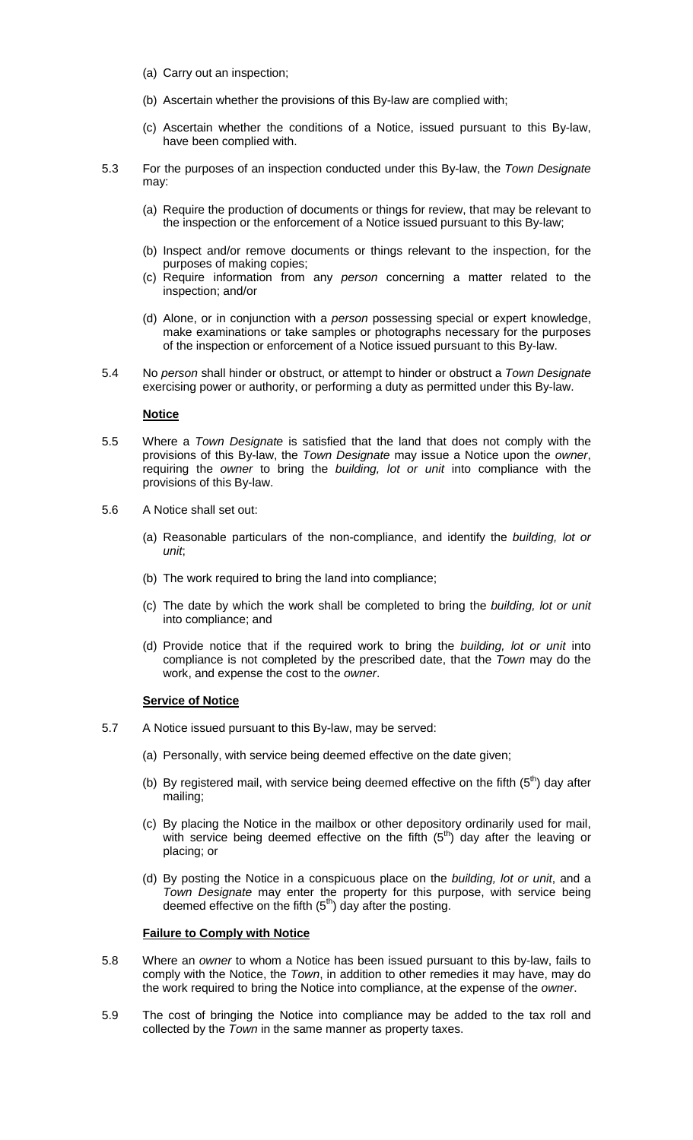- (a) Carry out an inspection;
- (b) Ascertain whether the provisions of this By-law are complied with;
- (c) Ascertain whether the conditions of a Notice, issued pursuant to this By-law, have been complied with.
- 5.3 For the purposes of an inspection conducted under this By-law, the *Town Designate* may:
	- (a) Require the production of documents or things for review, that may be relevant to the inspection or the enforcement of a Notice issued pursuant to this By-law;
	- (b) Inspect and/or remove documents or things relevant to the inspection, for the purposes of making copies;
	- (c) Require information from any *person* concerning a matter related to the inspection; and/or
	- (d) Alone, or in conjunction with a *person* possessing special or expert knowledge, make examinations or take samples or photographs necessary for the purposes of the inspection or enforcement of a Notice issued pursuant to this By-law.
- 5.4 No *person* shall hinder or obstruct, or attempt to hinder or obstruct a *Town Designate* exercising power or authority, or performing a duty as permitted under this By-law.

#### **Notice**

- 5.5 Where a *Town Designate* is satisfied that the land that does not comply with the provisions of this By-law, the *Town Designate* may issue a Notice upon the *owner*, requiring the *owner* to bring the *building, lot or unit* into compliance with the provisions of this By-law.
- 5.6 A Notice shall set out:
	- (a) Reasonable particulars of the non-compliance, and identify the *building, lot or unit*;
	- (b) The work required to bring the land into compliance;
	- (c) The date by which the work shall be completed to bring the *building, lot or unit* into compliance; and
	- (d) Provide notice that if the required work to bring the *building, lot or unit* into compliance is not completed by the prescribed date, that the *Town* may do the work, and expense the cost to the *owner*.

#### **Service of Notice**

- 5.7 A Notice issued pursuant to this By-law, may be served:
	- (a) Personally, with service being deemed effective on the date given;
	- (b) By registered mail, with service being deemed effective on the fifth  $(5<sup>th</sup>)$  day after mailing;
	- (c) By placing the Notice in the mailbox or other depository ordinarily used for mail, with service being deemed effective on the fifth  $(5<sup>th</sup>)$  day after the leaving or placing; or
	- (d) By posting the Notice in a conspicuous place on the *building, lot or unit*, and a *Town Designate* may enter the property for this purpose, with service being deemed effective on the fifth  $(5<sup>th</sup>)$  day after the posting.

#### **Failure to Comply with Notice**

- 5.8 Where an *owner* to whom a Notice has been issued pursuant to this by-law, fails to comply with the Notice, the *Town*, in addition to other remedies it may have, may do the work required to bring the Notice into compliance, at the expense of the *owner*.
- 5.9 The cost of bringing the Notice into compliance may be added to the tax roll and collected by the *Town* in the same manner as property taxes.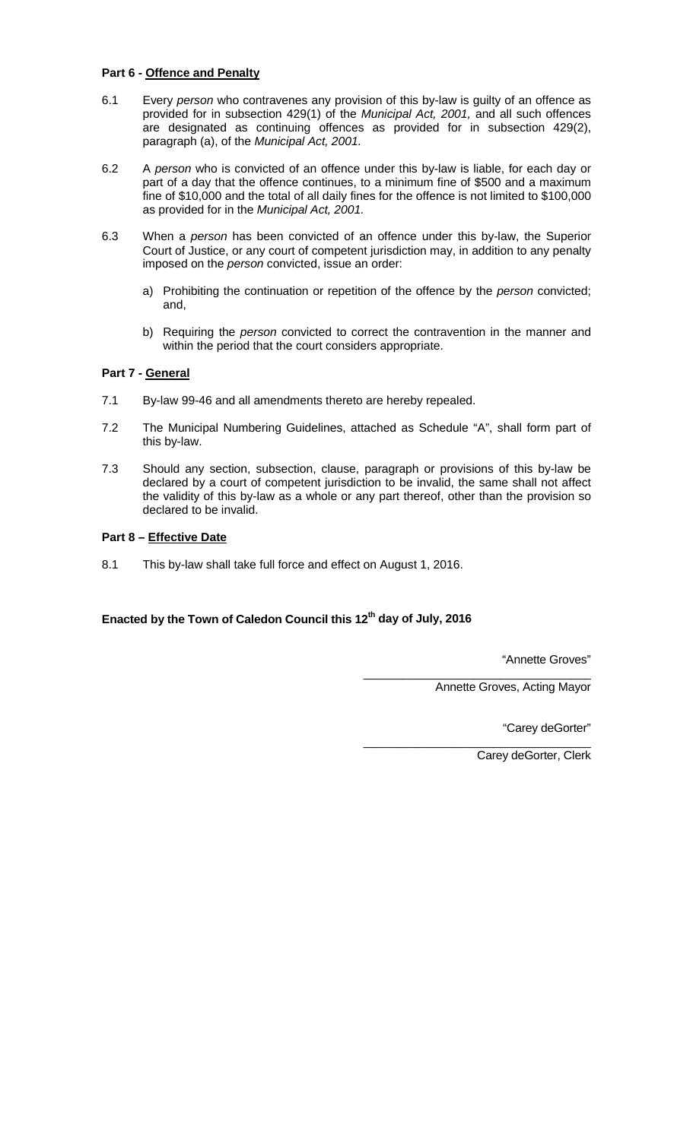#### **Part 6 - Offence and Penalty**

- 6.1 Every *person* who contravenes any provision of this by-law is guilty of an offence as provided for in subsection 429(1) of the *Municipal Act, 2001,* and all such offences are designated as continuing offences as provided for in subsection 429(2), paragraph (a), of the *Municipal Act, 2001.*
- 6.2 A *person* who is convicted of an offence under this by-law is liable, for each day or part of a day that the offence continues, to a minimum fine of \$500 and a maximum fine of \$10,000 and the total of all daily fines for the offence is not limited to \$100,000 as provided for in the *Municipal Act, 2001.*
- 6.3 When a *person* has been convicted of an offence under this by-law, the Superior Court of Justice, or any court of competent jurisdiction may, in addition to any penalty imposed on the *person* convicted, issue an order:
	- a) Prohibiting the continuation or repetition of the offence by the *person* convicted; and,
	- b) Requiring the *person* convicted to correct the contravention in the manner and within the period that the court considers appropriate.

#### **Part 7 - General**

- 7.1 By-law 99-46 and all amendments thereto are hereby repealed.
- 7.2 The Municipal Numbering Guidelines, attached as Schedule "A", shall form part of this by-law.
- 7.3 Should any section, subsection, clause, paragraph or provisions of this by-law be declared by a court of competent jurisdiction to be invalid, the same shall not affect the validity of this by-law as a whole or any part thereof, other than the provision so declared to be invalid.

#### **Part 8 – Effective Date**

8.1 This by-law shall take full force and effect on August 1, 2016.

# **Enacted by the Town of Caledon Council this 12th day of July, 2016**

"Annette Groves"

\_\_\_\_\_\_\_\_\_\_\_\_\_\_\_\_\_\_\_\_\_\_\_\_\_\_\_\_\_\_\_\_\_\_\_ Annette Groves, Acting Mayor

"Carey deGorter"

\_\_\_\_\_\_\_\_\_\_\_\_\_\_\_\_\_\_\_\_\_\_\_\_\_\_\_\_\_\_\_\_\_\_\_ Carey deGorter, Clerk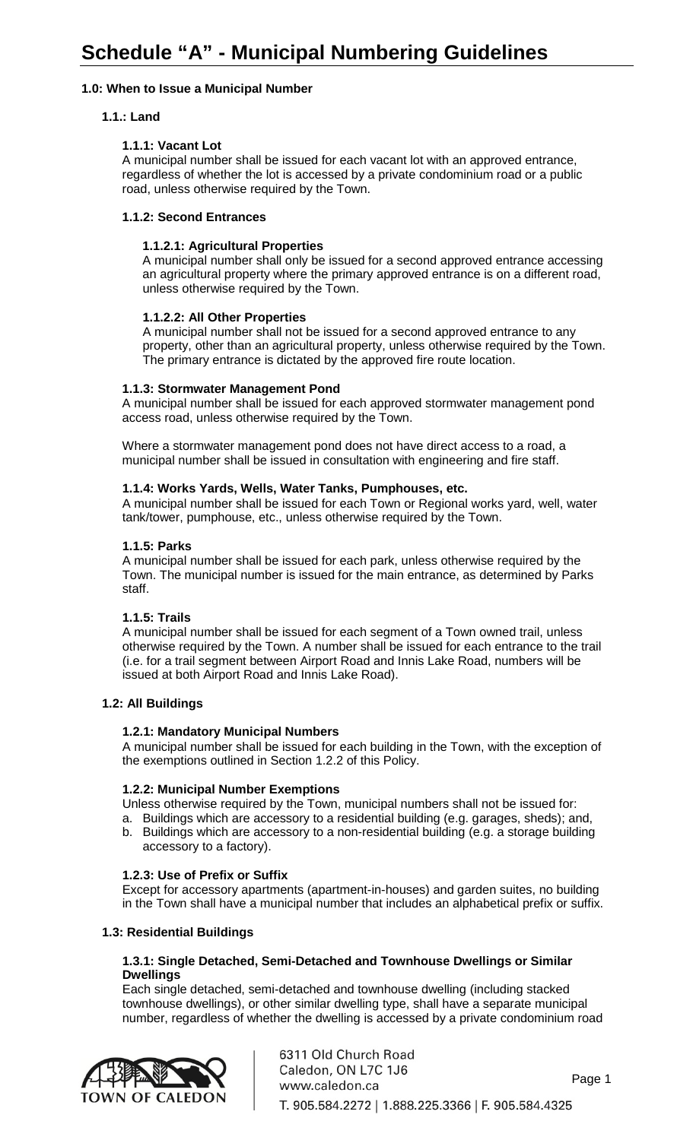# **1.0: When to Issue a Municipal Number**

# **1.1.: Land**

# **1.1.1: Vacant Lot**

A municipal number shall be issued for each vacant lot with an approved entrance, regardless of whether the lot is accessed by a private condominium road or a public road, unless otherwise required by the Town.

## **1.1.2: Second Entrances**

# **1.1.2.1: Agricultural Properties**

A municipal number shall only be issued for a second approved entrance accessing an agricultural property where the primary approved entrance is on a different road, unless otherwise required by the Town.

# **1.1.2.2: All Other Properties**

A municipal number shall not be issued for a second approved entrance to any property, other than an agricultural property, unless otherwise required by the Town. The primary entrance is dictated by the approved fire route location.

## **1.1.3: Stormwater Management Pond**

A municipal number shall be issued for each approved stormwater management pond access road, unless otherwise required by the Town.

Where a stormwater management pond does not have direct access to a road, a municipal number shall be issued in consultation with engineering and fire staff.

## **1.1.4: Works Yards, Wells, Water Tanks, Pumphouses, etc.**

A municipal number shall be issued for each Town or Regional works yard, well, water tank/tower, pumphouse, etc., unless otherwise required by the Town.

## **1.1.5: Parks**

A municipal number shall be issued for each park, unless otherwise required by the Town. The municipal number is issued for the main entrance, as determined by Parks staff.

## **1.1.5: Trails**

A municipal number shall be issued for each segment of a Town owned trail, unless otherwise required by the Town. A number shall be issued for each entrance to the trail (i.e. for a trail segment between Airport Road and Innis Lake Road, numbers will be issued at both Airport Road and Innis Lake Road).

## **1.2: All Buildings**

## **1.2.1: Mandatory Municipal Numbers**

A municipal number shall be issued for each building in the Town, with the exception of the exemptions outlined in Section 1.2.2 of this Policy.

## **1.2.2: Municipal Number Exemptions**

Unless otherwise required by the Town, municipal numbers shall not be issued for:

- a. Buildings which are accessory to a residential building (e.g. garages, sheds); and,
- b. Buildings which are accessory to a non-residential building (e.g. a storage building accessory to a factory).

## **1.2.3: Use of Prefix or Suffix**

Except for accessory apartments (apartment-in-houses) and garden suites, no building in the Town shall have a municipal number that includes an alphabetical prefix or suffix.

## **1.3: Residential Buildings**

## **1.3.1: Single Detached, Semi-Detached and Townhouse Dwellings or Similar Dwellings**

Each single detached, semi-detached and townhouse dwelling (including stacked townhouse dwellings), or other similar dwelling type, shall have a separate municipal number, regardless of whether the dwelling is accessed by a private condominium road

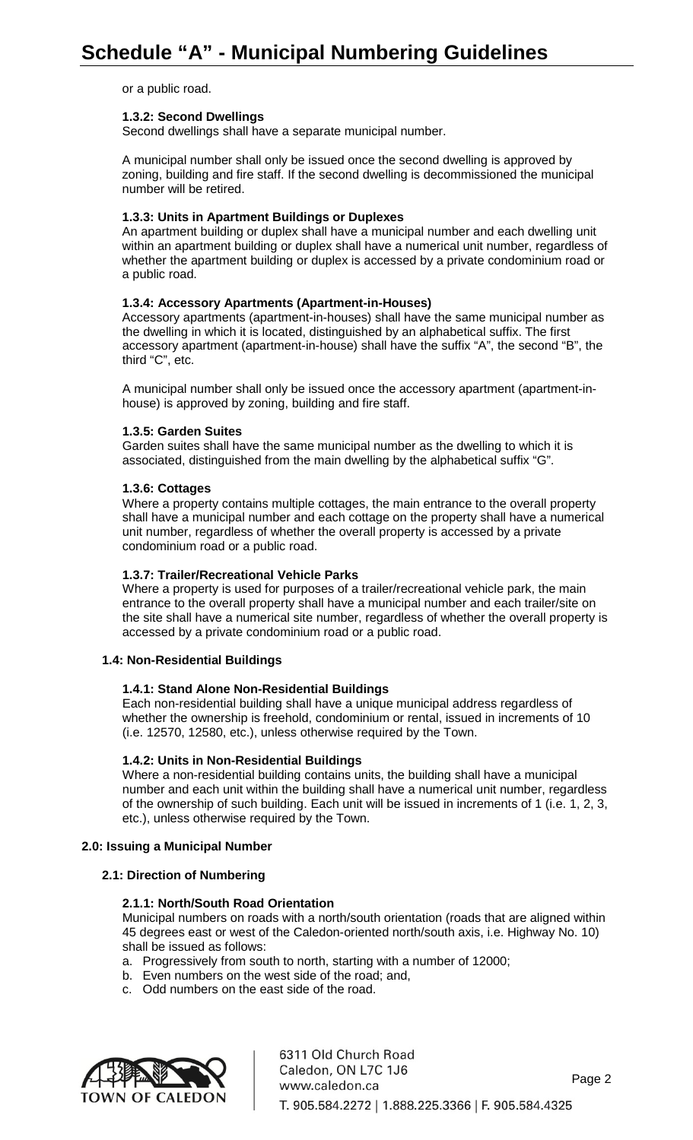or a public road.

#### **1.3.2: Second Dwellings**

Second dwellings shall have a separate municipal number.

A municipal number shall only be issued once the second dwelling is approved by zoning, building and fire staff. If the second dwelling is decommissioned the municipal number will be retired.

#### **1.3.3: Units in Apartment Buildings or Duplexes**

An apartment building or duplex shall have a municipal number and each dwelling unit within an apartment building or duplex shall have a numerical unit number, regardless of whether the apartment building or duplex is accessed by a private condominium road or a public road.

#### **1.3.4: Accessory Apartments (Apartment-in-Houses)**

Accessory apartments (apartment-in-houses) shall have the same municipal number as the dwelling in which it is located, distinguished by an alphabetical suffix. The first accessory apartment (apartment-in-house) shall have the suffix "A", the second "B", the third "C", etc.

A municipal number shall only be issued once the accessory apartment (apartment-inhouse) is approved by zoning, building and fire staff.

#### **1.3.5: Garden Suites**

Garden suites shall have the same municipal number as the dwelling to which it is associated, distinguished from the main dwelling by the alphabetical suffix "G".

#### **1.3.6: Cottages**

Where a property contains multiple cottages, the main entrance to the overall property shall have a municipal number and each cottage on the property shall have a numerical unit number, regardless of whether the overall property is accessed by a private condominium road or a public road.

#### **1.3.7: Trailer/Recreational Vehicle Parks**

Where a property is used for purposes of a trailer/recreational vehicle park, the main entrance to the overall property shall have a municipal number and each trailer/site on the site shall have a numerical site number, regardless of whether the overall property is accessed by a private condominium road or a public road.

#### **1.4: Non-Residential Buildings**

#### **1.4.1: Stand Alone Non-Residential Buildings**

Each non-residential building shall have a unique municipal address regardless of whether the ownership is freehold, condominium or rental, issued in increments of 10 (i.e. 12570, 12580, etc.), unless otherwise required by the Town.

#### **1.4.2: Units in Non-Residential Buildings**

Where a non-residential building contains units, the building shall have a municipal number and each unit within the building shall have a numerical unit number, regardless of the ownership of such building. Each unit will be issued in increments of 1 (i.e. 1, 2, 3, etc.), unless otherwise required by the Town.

#### **2.0: Issuing a Municipal Number**

#### **2.1: Direction of Numbering**

## **2.1.1: North/South Road Orientation**

Municipal numbers on roads with a north/south orientation (roads that are aligned within 45 degrees east or west of the Caledon-oriented north/south axis, i.e. Highway No. 10) shall be issued as follows:

- a. Progressively from south to north, starting with a number of 12000;
- b. Even numbers on the west side of the road; and,
- c. Odd numbers on the east side of the road.



6311 Old Church Road Caledon, ON L7C 1J6 Page 2 www.caledon.ca T. 905.584.2272 | 1.888.225.3366 | F. 905.584.4325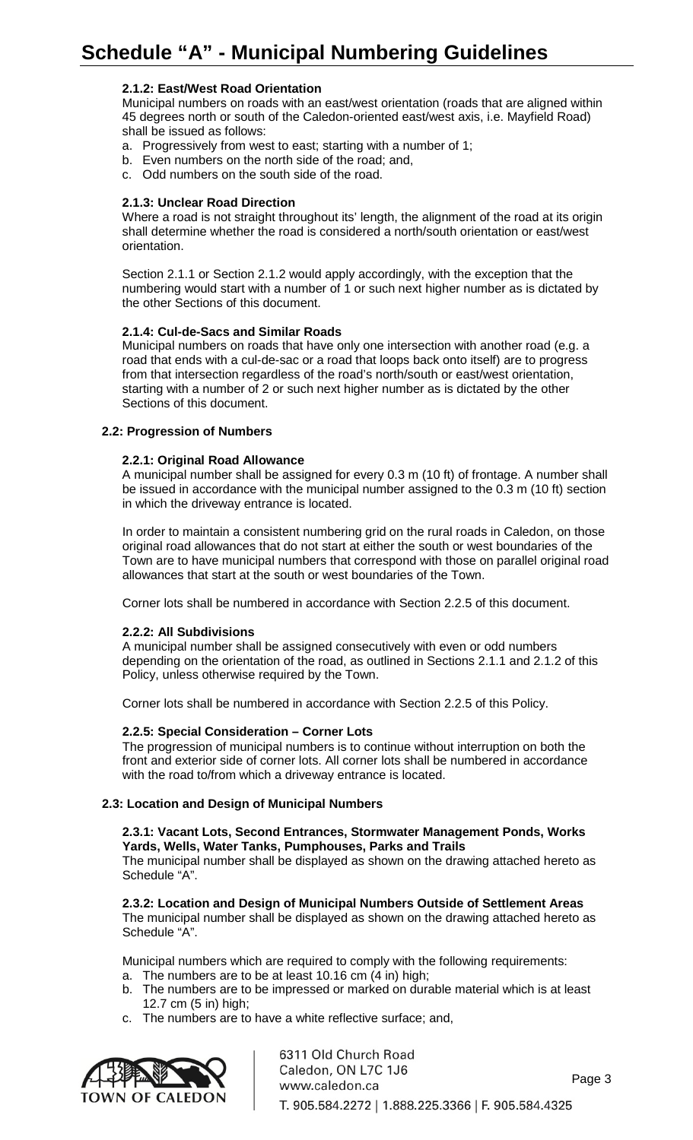# **2.1.2: East/West Road Orientation**

Municipal numbers on roads with an east/west orientation (roads that are aligned within 45 degrees north or south of the Caledon-oriented east/west axis, i.e. Mayfield Road) shall be issued as follows:

- a. Progressively from west to east; starting with a number of 1;
- b. Even numbers on the north side of the road; and,
- c. Odd numbers on the south side of the road.

## **2.1.3: Unclear Road Direction**

Where a road is not straight throughout its' length, the alignment of the road at its origin shall determine whether the road is considered a north/south orientation or east/west orientation.

Section 2.1.1 or Section 2.1.2 would apply accordingly, with the exception that the numbering would start with a number of 1 or such next higher number as is dictated by the other Sections of this document.

## **2.1.4: Cul-de-Sacs and Similar Roads**

Municipal numbers on roads that have only one intersection with another road (e.g. a road that ends with a cul-de-sac or a road that loops back onto itself) are to progress from that intersection regardless of the road's north/south or east/west orientation, starting with a number of 2 or such next higher number as is dictated by the other Sections of this document.

## **2.2: Progression of Numbers**

#### **2.2.1: Original Road Allowance**

A municipal number shall be assigned for every 0.3 m (10 ft) of frontage. A number shall be issued in accordance with the municipal number assigned to the 0.3 m (10 ft) section in which the driveway entrance is located.

In order to maintain a consistent numbering grid on the rural roads in Caledon, on those original road allowances that do not start at either the south or west boundaries of the Town are to have municipal numbers that correspond with those on parallel original road allowances that start at the south or west boundaries of the Town.

Corner lots shall be numbered in accordance with Section 2.2.5 of this document.

## **2.2.2: All Subdivisions**

A municipal number shall be assigned consecutively with even or odd numbers depending on the orientation of the road, as outlined in Sections 2.1.1 and 2.1.2 of this Policy, unless otherwise required by the Town.

Corner lots shall be numbered in accordance with Section 2.2.5 of this Policy.

## **2.2.5: Special Consideration – Corner Lots**

The progression of municipal numbers is to continue without interruption on both the front and exterior side of corner lots. All corner lots shall be numbered in accordance with the road to/from which a driveway entrance is located.

#### **2.3: Location and Design of Municipal Numbers**

**2.3.1: Vacant Lots, Second Entrances, Stormwater Management Ponds, Works Yards, Wells, Water Tanks, Pumphouses, Parks and Trails**

The municipal number shall be displayed as shown on the drawing attached hereto as Schedule "A".

**2.3.2: Location and Design of Municipal Numbers Outside of Settlement Areas** The municipal number shall be displayed as shown on the drawing attached hereto as Schedule "A".

Municipal numbers which are required to comply with the following requirements:

- a. The numbers are to be at least 10.16 cm (4 in) high;
- b. The numbers are to be impressed or marked on durable material which is at least 12.7 cm (5 in) high;
- c. The numbers are to have a white reflective surface; and,



6311 Old Church Road Caledon, ON L7C 1J6 Page 3 www.caledon.ca T. 905.584.2272 | 1.888.225.3366 | F. 905.584.4325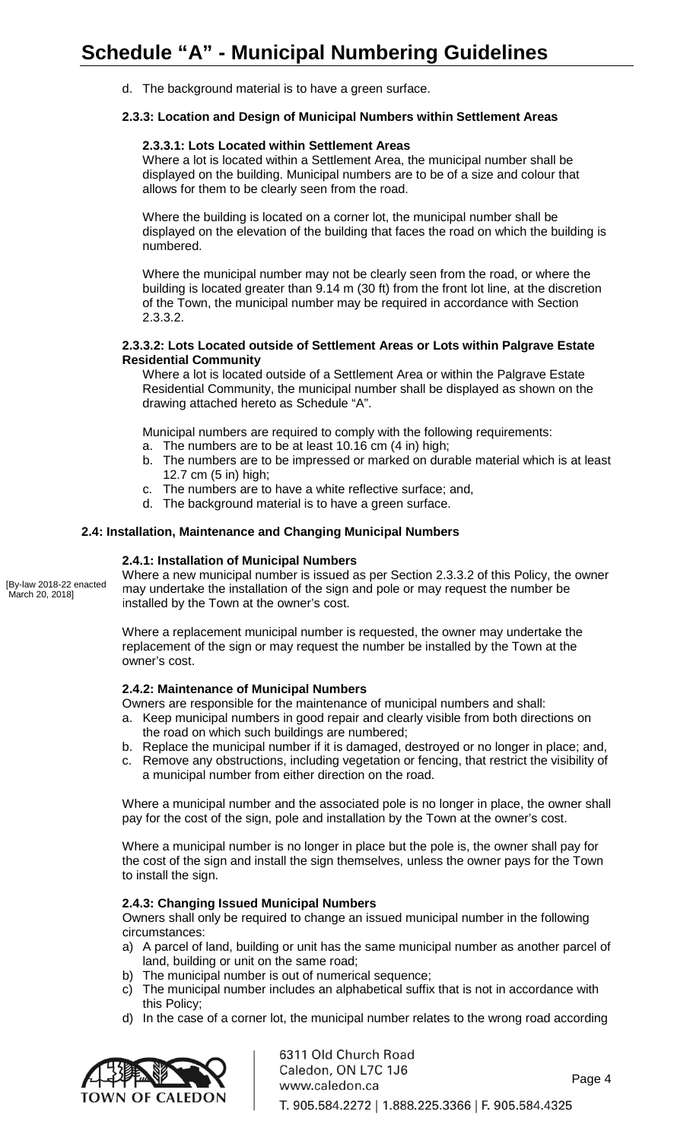d. The background material is to have a green surface.

## **2.3.3: Location and Design of Municipal Numbers within Settlement Areas**

## **2.3.3.1: Lots Located within Settlement Areas**

Where a lot is located within a Settlement Area, the municipal number shall be displayed on the building. Municipal numbers are to be of a size and colour that allows for them to be clearly seen from the road.

Where the building is located on a corner lot, the municipal number shall be displayed on the elevation of the building that faces the road on which the building is numbered.

Where the municipal number may not be clearly seen from the road, or where the building is located greater than 9.14 m (30 ft) from the front lot line, at the discretion of the Town, the municipal number may be required in accordance with Section 2.3.3.2.

## **2.3.3.2: Lots Located outside of Settlement Areas or Lots within Palgrave Estate Residential Community**

Where a lot is located outside of a Settlement Area or within the Palgrave Estate Residential Community, the municipal number shall be displayed as shown on the drawing attached hereto as Schedule "A".

Municipal numbers are required to comply with the following requirements:

- a. The numbers are to be at least 10.16 cm (4 in) high;
- b. The numbers are to be impressed or marked on durable material which is at least 12.7 cm (5 in) high;
- c. The numbers are to have a white reflective surface; and,
- d. The background material is to have a green surface.

# **2.4: Installation, Maintenance and Changing Municipal Numbers**

# **2.4.1: Installation of Municipal Numbers**

[By-law 2018-22 enacted March 20, 2018]

Where a new municipal number is issued as per Section 2.3.3.2 of this Policy, the owner may undertake the installation of the sign and pole or may request the number be installed by the Town at the owner's cost.

Where a replacement municipal number is requested, the owner may undertake the replacement of the sign or may request the number be installed by the Town at the owner's cost.

## **2.4.2: Maintenance of Municipal Numbers**

Owners are responsible for the maintenance of municipal numbers and shall:

- a. Keep municipal numbers in good repair and clearly visible from both directions on the road on which such buildings are numbered;
- b. Replace the municipal number if it is damaged, destroyed or no longer in place; and,
- c. Remove any obstructions, including vegetation or fencing, that restrict the visibility of a municipal number from either direction on the road.

Where a municipal number and the associated pole is no longer in place, the owner shall pay for the cost of the sign, pole and installation by the Town at the owner's cost.

Where a municipal number is no longer in place but the pole is, the owner shall pay for the cost of the sign and install the sign themselves, unless the owner pays for the Town to install the sign.

## **2.4.3: Changing Issued Municipal Numbers**

Owners shall only be required to change an issued municipal number in the following circumstances:

- a) A parcel of land, building or unit has the same municipal number as another parcel of land, building or unit on the same road;
- b) The municipal number is out of numerical sequence;
- c) The municipal number includes an alphabetical suffix that is not in accordance with this Policy;
- d) In the case of a corner lot, the municipal number relates to the wrong road according



6311 Old Church Road Caledon, ON L7C 1J6 Page 4 www.caledon.ca T. 905.584.2272 | 1.888.225.3366 | F. 905.584.4325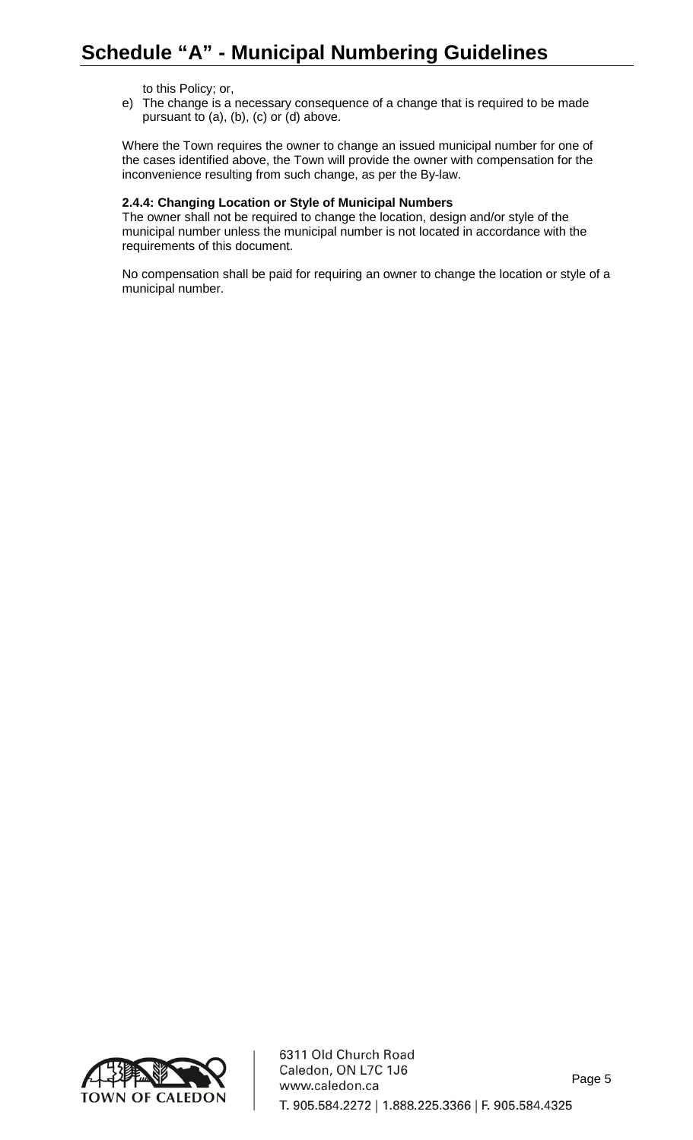to this Policy; or,

e) The change is a necessary consequence of a change that is required to be made pursuant to (a), (b), (c) or (d) above.

Where the Town requires the owner to change an issued municipal number for one of the cases identified above, the Town will provide the owner with compensation for the inconvenience resulting from such change, as per the By-law.

## **2.4.4: Changing Location or Style of Municipal Numbers**

The owner shall not be required to change the location, design and/or style of the municipal number unless the municipal number is not located in accordance with the requirements of this document.

No compensation shall be paid for requiring an owner to change the location or style of a municipal number.